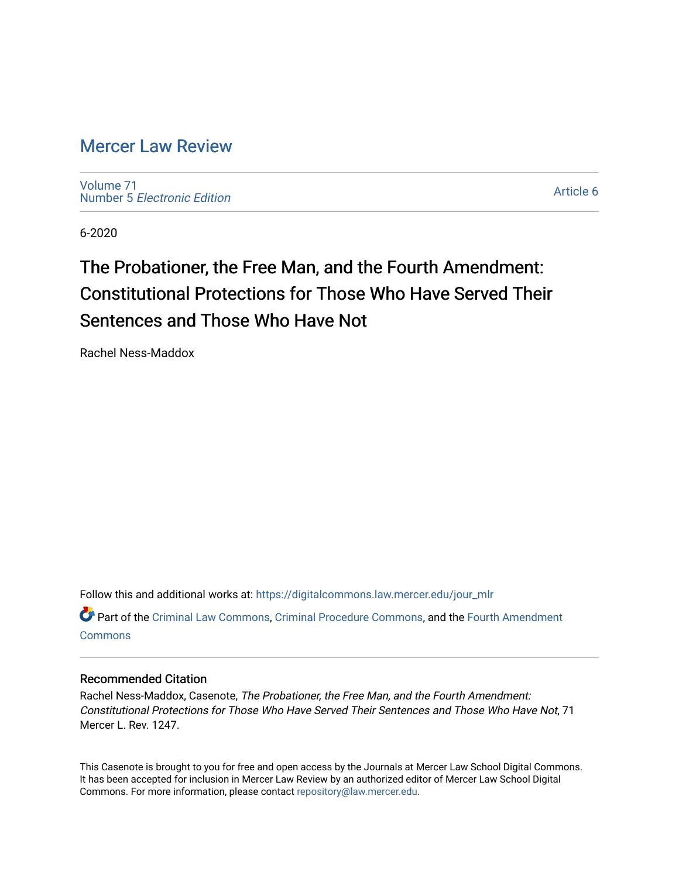# [Mercer Law Review](https://digitalcommons.law.mercer.edu/jour_mlr)

[Volume 71](https://digitalcommons.law.mercer.edu/jour_mlr/vol71) Number 5 [Electronic Edition](https://digitalcommons.law.mercer.edu/jour_mlr/vol71/iss5) 

[Article 6](https://digitalcommons.law.mercer.edu/jour_mlr/vol71/iss5/6) 

6-2020

# The Probationer, the Free Man, and the Fourth Amendment: Constitutional Protections for Those Who Have Served Their Sentences and Those Who Have Not

Rachel Ness-Maddox

Follow this and additional works at: [https://digitalcommons.law.mercer.edu/jour\\_mlr](https://digitalcommons.law.mercer.edu/jour_mlr?utm_source=digitalcommons.law.mercer.edu%2Fjour_mlr%2Fvol71%2Fiss5%2F6&utm_medium=PDF&utm_campaign=PDFCoverPages)

Part of the [Criminal Law Commons,](http://network.bepress.com/hgg/discipline/912?utm_source=digitalcommons.law.mercer.edu%2Fjour_mlr%2Fvol71%2Fiss5%2F6&utm_medium=PDF&utm_campaign=PDFCoverPages) [Criminal Procedure Commons,](http://network.bepress.com/hgg/discipline/1073?utm_source=digitalcommons.law.mercer.edu%2Fjour_mlr%2Fvol71%2Fiss5%2F6&utm_medium=PDF&utm_campaign=PDFCoverPages) and the [Fourth Amendment](http://network.bepress.com/hgg/discipline/1180?utm_source=digitalcommons.law.mercer.edu%2Fjour_mlr%2Fvol71%2Fiss5%2F6&utm_medium=PDF&utm_campaign=PDFCoverPages)  **[Commons](http://network.bepress.com/hgg/discipline/1180?utm_source=digitalcommons.law.mercer.edu%2Fjour_mlr%2Fvol71%2Fiss5%2F6&utm_medium=PDF&utm_campaign=PDFCoverPages)** 

# Recommended Citation

Rachel Ness-Maddox, Casenote, The Probationer, the Free Man, and the Fourth Amendment: Constitutional Protections for Those Who Have Served Their Sentences and Those Who Have Not, 71 Mercer L. Rev. 1247.

This Casenote is brought to you for free and open access by the Journals at Mercer Law School Digital Commons. It has been accepted for inclusion in Mercer Law Review by an authorized editor of Mercer Law School Digital Commons. For more information, please contact [repository@law.mercer.edu.](mailto:repository@law.mercer.edu)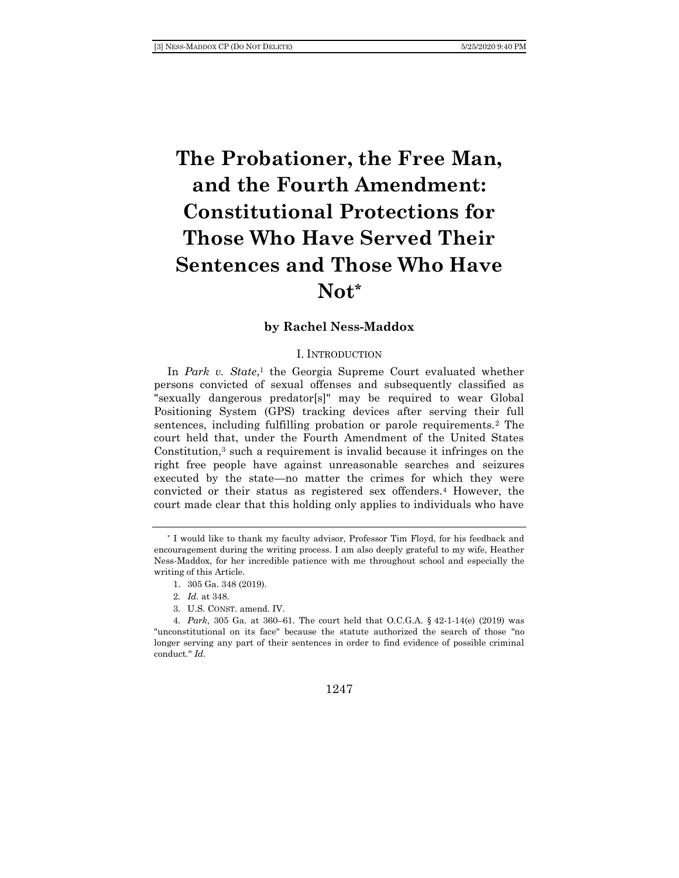# **The Probationer, the Free Man, and the Fourth Amendment: Constitutional Protections for Those Who Have Served Their Sentences and Those Who Have Not\***

### **by Rachel Ness-Maddox**

#### I. INTRODUCTION

In *Park v. State*,<sup>1</sup> the Georgia Supreme Court evaluated whether persons convicted of sexual offenses and subsequently classified as "sexually dangerous predator[s]" may be required to wear Global Positioning System (GPS) tracking devices after serving their full sentences, including fulfilling probation or parole requirements.<sup>2</sup> The court held that, under the Fourth Amendment of the United States Constitution,<sup>3</sup> such a requirement is invalid because it infringes on the right free people have against unreasonable searches and seizures executed by the state—no matter the crimes for which they were convicted or their status as registered sex offenders.<sup>4</sup> However, the court made clear that this holding only applies to individuals who have

3. U.S. CONST. amend. IV.

<sup>\*</sup> I would like to thank my faculty advisor, Professor Tim Floyd, for his feedback and encouragement during the writing process. I am also deeply grateful to my wife, Heather Ness-Maddox, for her incredible patience with me throughout school and especially the writing of this Article.

<sup>1.</sup> 305 Ga. 348 (2019).

<sup>2</sup>*. Id.* at 348.

<sup>4</sup>*. Park*, 305 Ga. at 360–61. The court held that O.C.G.A. § 42-1-14(e) (2019) was "unconstitutional on its face" because the statute authorized the search of those "no longer serving any part of their sentences in order to find evidence of possible criminal conduct." *Id.*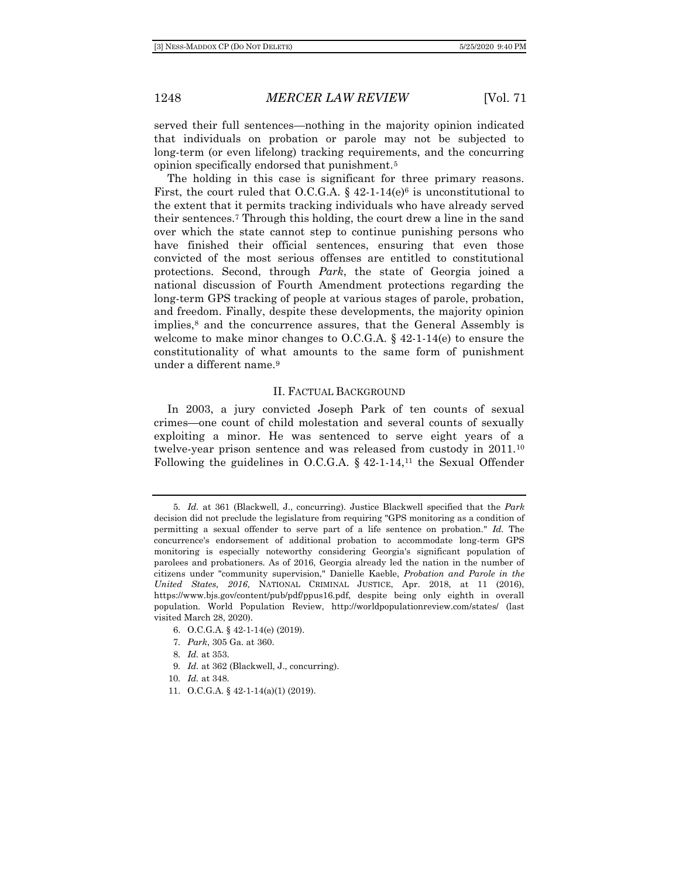served their full sentences—nothing in the majority opinion indicated that individuals on probation or parole may not be subjected to long-term (or even lifelong) tracking requirements, and the concurring opinion specifically endorsed that punishment.<sup>5</sup>

The holding in this case is significant for three primary reasons. First, the court ruled that O.C.G.A.  $\S$  42-1-14(e)<sup>6</sup> is unconstitutional to the extent that it permits tracking individuals who have already served their sentences.<sup>7</sup> Through this holding, the court drew a line in the sand over which the state cannot step to continue punishing persons who have finished their official sentences, ensuring that even those convicted of the most serious offenses are entitled to constitutional protections. Second, through *Park*, the state of Georgia joined a national discussion of Fourth Amendment protections regarding the long-term GPS tracking of people at various stages of parole, probation, and freedom. Finally, despite these developments, the majority opinion implies,<sup>8</sup> and the concurrence assures, that the General Assembly is welcome to make minor changes to  $O.C.G.A.$  § 42-1-14(e) to ensure the constitutionality of what amounts to the same form of punishment under a different name.<sup>9</sup>

#### II. FACTUAL BACKGROUND

In 2003, a jury convicted Joseph Park of ten counts of sexual crimes—one count of child molestation and several counts of sexually exploiting a minor. He was sentenced to serve eight years of a twelve-year prison sentence and was released from custody in 2011.<sup>10</sup> Following the guidelines in O.C.G.A.  $\S$  42-1-14,<sup>11</sup> the Sexual Offender

9*. Id.* at 362 (Blackwell, J., concurring).

11. O.C.G.A. § 42-1-14(a)(1) (2019).

<sup>5</sup>*. Id.* at 361 (Blackwell, J., concurring). Justice Blackwell specified that the *Park* decision did not preclude the legislature from requiring "GPS monitoring as a condition of permitting a sexual offender to serve part of a life sentence on probation." *Id.* The concurrence's endorsement of additional probation to accommodate long-term GPS monitoring is especially noteworthy considering Georgia's significant population of parolees and probationers. As of 2016, Georgia already led the nation in the number of citizens under "community supervision," Danielle Kaeble, *Probation and Parole in the United States, 2016*, NATIONAL CRIMINAL JUSTICE, Apr. 2018, at 11 (2016), https://www.bjs.gov/content/pub/pdf/ppus16.pdf, despite being only eighth in overall population. World Population Review, http://worldpopulationreview.com/states/ (last visited March 28, 2020).

<sup>6.</sup> O.C.G.A. § 42-1-14(e) (2019).

<sup>7</sup>*. Park*, 305 Ga. at 360.

<sup>8</sup>*. Id.* at 353.

<sup>10</sup>*. Id.* at 348.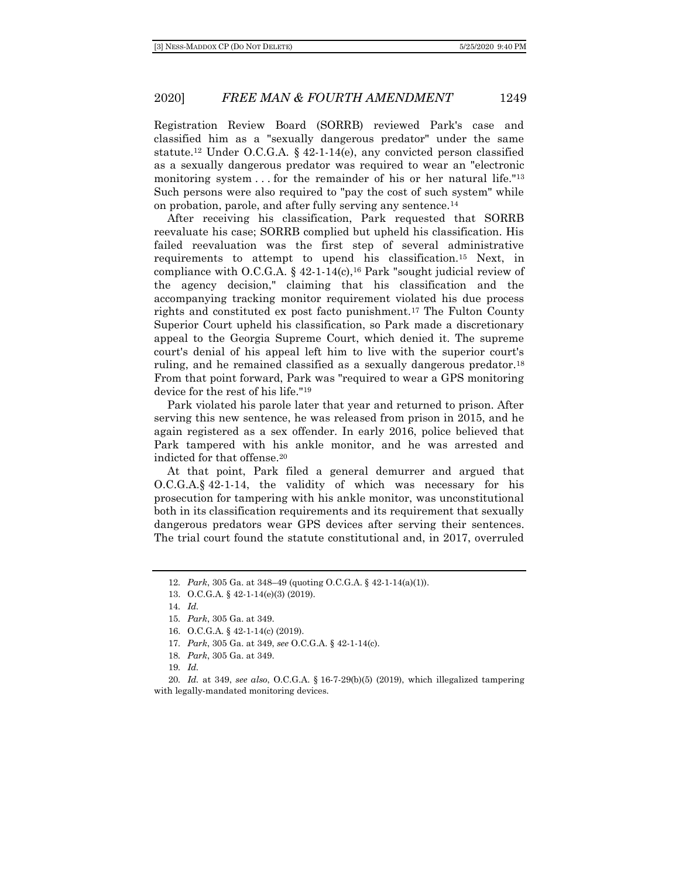Registration Review Board (SORRB) reviewed Park's case and classified him as a "sexually dangerous predator" under the same statute.<sup>12</sup> Under O.C.G.A.  $\&$  42-1-14(e), any convicted person classified as a sexually dangerous predator was required to wear an "electronic monitoring system . . . for the remainder of his or her natural life."<sup>13</sup> Such persons were also required to "pay the cost of such system" while on probation, parole, and after fully serving any sentence.<sup>14</sup>

After receiving his classification, Park requested that SORRB reevaluate his case; SORRB complied but upheld his classification. His failed reevaluation was the first step of several administrative requirements to attempt to upend his classification.<sup>15</sup> Next, in compliance with O.C.G.A. §  $42-1-14(c)$ ,<sup>16</sup> Park "sought judicial review of the agency decision," claiming that his classification and the accompanying tracking monitor requirement violated his due process rights and constituted ex post facto punishment.<sup>17</sup> The Fulton County Superior Court upheld his classification, so Park made a discretionary appeal to the Georgia Supreme Court, which denied it. The supreme court's denial of his appeal left him to live with the superior court's ruling, and he remained classified as a sexually dangerous predator.<sup>18</sup> From that point forward, Park was "required to wear a GPS monitoring device for the rest of his life."<sup>19</sup>

Park violated his parole later that year and returned to prison. After serving this new sentence, he was released from prison in 2015, and he again registered as a sex offender. In early 2016, police believed that Park tampered with his ankle monitor, and he was arrested and indicted for that offense.<sup>20</sup>

At that point, Park filed a general demurrer and argued that O.C.G.A.§ 42-1-14, the validity of which was necessary for his prosecution for tampering with his ankle monitor, was unconstitutional both in its classification requirements and its requirement that sexually dangerous predators wear GPS devices after serving their sentences. The trial court found the statute constitutional and, in 2017, overruled

- 17*. Park*, 305 Ga. at 349, *see* O.C.G.A. § 42-1-14(c).
- 18*. Park*, 305 Ga. at 349.
- 19*. Id.*

20*. Id.* at 349, *see also*, O.C.G.A. § 16-7-29(b)(5) (2019), which illegalized tampering with legally-mandated monitoring devices.

<sup>12</sup>*. Park*, 305 Ga. at 348–49 (quoting O.C.G.A. § 42-1-14(a)(1)).

<sup>13.</sup> O.C.G.A. § 42-1-14(e)(3) (2019).

<sup>14</sup>*. Id.*

<sup>15</sup>*. Park*, 305 Ga. at 349.

<sup>16.</sup> O.C.G.A. § 42-1-14(c) (2019).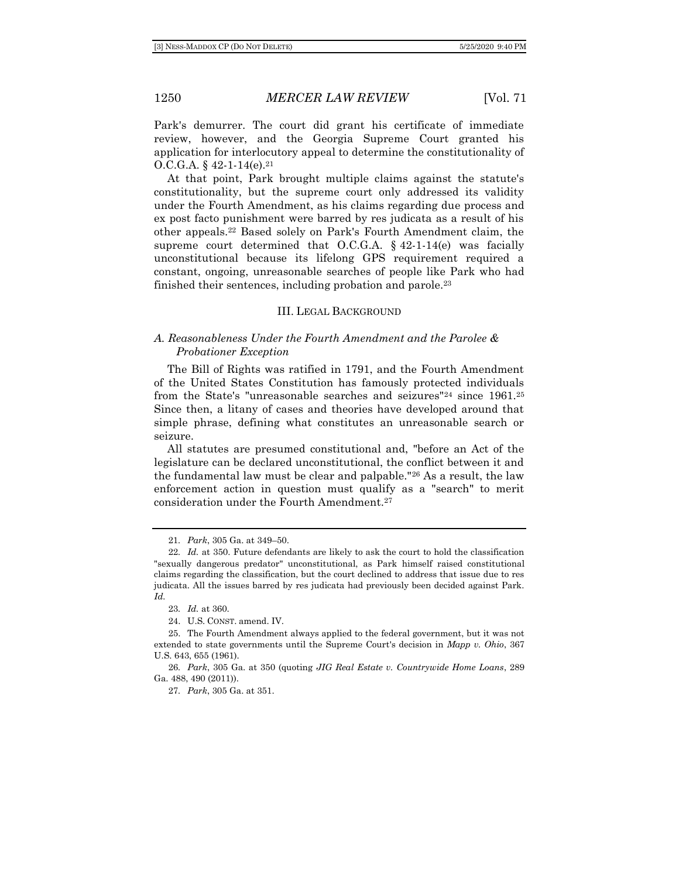Park's demurrer. The court did grant his certificate of immediate review, however, and the Georgia Supreme Court granted his application for interlocutory appeal to determine the constitutionality of O.C.G.A.  $§$  42-1-14(e).<sup>21</sup>

At that point, Park brought multiple claims against the statute's constitutionality, but the supreme court only addressed its validity under the Fourth Amendment, as his claims regarding due process and ex post facto punishment were barred by res judicata as a result of his other appeals.<sup>22</sup> Based solely on Park's Fourth Amendment claim, the supreme court determined that O.C.G.A.  $§$  42-1-14(e) was facially unconstitutional because its lifelong GPS requirement required a constant, ongoing, unreasonable searches of people like Park who had finished their sentences, including probation and parole.<sup>23</sup>

#### III. LEGAL BACKGROUND

## *A. Reasonableness Under the Fourth Amendment and the Parolee & Probationer Exception*

The Bill of Rights was ratified in 1791, and the Fourth Amendment of the United States Constitution has famously protected individuals from the State's "unreasonable searches and seizures"<sup>24</sup> since 1961.<sup>25</sup> Since then, a litany of cases and theories have developed around that simple phrase, defining what constitutes an unreasonable search or seizure.

All statutes are presumed constitutional and, "before an Act of the legislature can be declared unconstitutional, the conflict between it and the fundamental law must be clear and palpable."<sup>26</sup> As a result, the law enforcement action in question must qualify as a "search" to merit consideration under the Fourth Amendment.<sup>27</sup>

<sup>21</sup>*. Park*, 305 Ga. at 349–50.

<sup>22</sup>*. Id.* at 350. Future defendants are likely to ask the court to hold the classification "sexually dangerous predator" unconstitutional, as Park himself raised constitutional claims regarding the classification, but the court declined to address that issue due to res judicata. All the issues barred by res judicata had previously been decided against Park. *Id.*

<sup>23</sup>*. Id.* at 360.

<sup>24.</sup> U.S. CONST. amend. IV.

<sup>25.</sup> The Fourth Amendment always applied to the federal government, but it was not extended to state governments until the Supreme Court's decision in *Mapp v. Ohio*, 367 U.S. 643, 655 (1961).

<sup>26</sup>*. Park*, 305 Ga. at 350 (quoting *JIG Real Estate v. Countrywide Home Loans*, 289 Ga. 488, 490 (2011)).

<sup>27</sup>*. Park*, 305 Ga. at 351.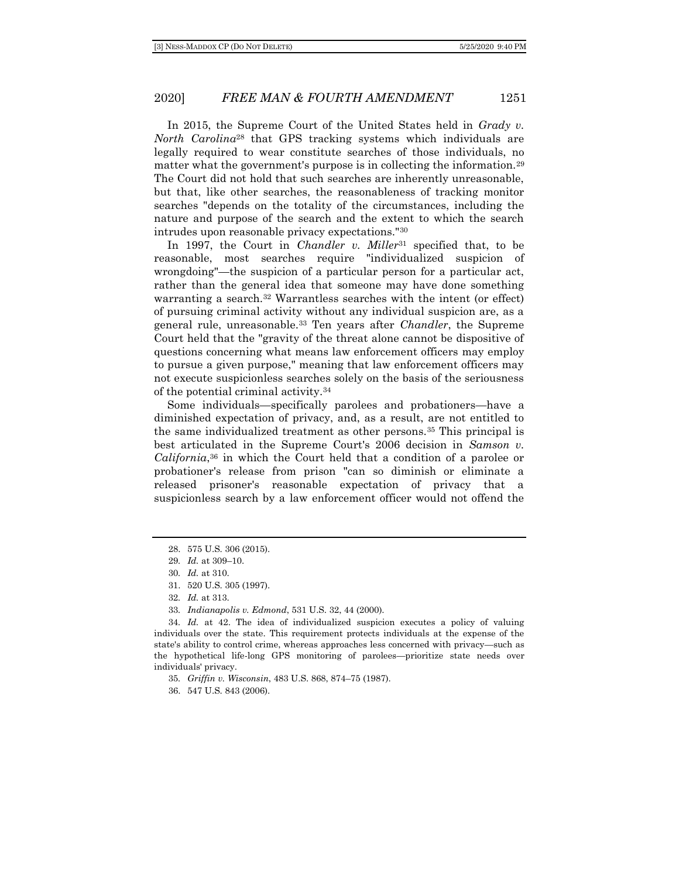In 2015, the Supreme Court of the United States held in *Grady v. North Carolina*<sup>28</sup> that GPS tracking systems which individuals are legally required to wear constitute searches of those individuals, no matter what the government's purpose is in collecting the information.<sup>29</sup> The Court did not hold that such searches are inherently unreasonable, but that, like other searches, the reasonableness of tracking monitor searches "depends on the totality of the circumstances, including the nature and purpose of the search and the extent to which the search intrudes upon reasonable privacy expectations."<sup>30</sup>

In 1997, the Court in *Chandler v. Miller*<sup>31</sup> specified that, to be reasonable, most searches require "individualized suspicion of wrongdoing"—the suspicion of a particular person for a particular act, rather than the general idea that someone may have done something warranting a search.<sup>32</sup> Warrantless searches with the intent (or effect) of pursuing criminal activity without any individual suspicion are, as a general rule, unreasonable.<sup>33</sup> Ten years after *Chandler*, the Supreme Court held that the "gravity of the threat alone cannot be dispositive of questions concerning what means law enforcement officers may employ to pursue a given purpose," meaning that law enforcement officers may not execute suspicionless searches solely on the basis of the seriousness of the potential criminal activity.<sup>34</sup>

Some individuals—specifically parolees and probationers—have a diminished expectation of privacy, and, as a result, are not entitled to the same individualized treatment as other persons.<sup>35</sup> This principal is best articulated in the Supreme Court's 2006 decision in *Samson v. California*, <sup>36</sup> in which the Court held that a condition of a parolee or probationer's release from prison "can so diminish or eliminate a released prisoner's reasonable expectation of privacy that a suspicionless search by a law enforcement officer would not offend the

35*. Griffin v. Wisconsin*, 483 U.S. 868, 874–75 (1987).

36. 547 U.S. 843 (2006).

<sup>28.</sup> 575 U.S. 306 (2015).

<sup>29</sup>*. Id.* at 309–10.

<sup>30</sup>*. Id.* at 310.

<sup>31.</sup> 520 U.S. 305 (1997).

<sup>32</sup>*. Id.* at 313.

<sup>33</sup>*. Indianapolis v. Edmond*, 531 U.S. 32, 44 (2000).

<sup>34</sup>*. Id.* at 42. The idea of individualized suspicion executes a policy of valuing individuals over the state. This requirement protects individuals at the expense of the state's ability to control crime, whereas approaches less concerned with privacy—such as the hypothetical life-long GPS monitoring of parolees—prioritize state needs over individuals' privacy.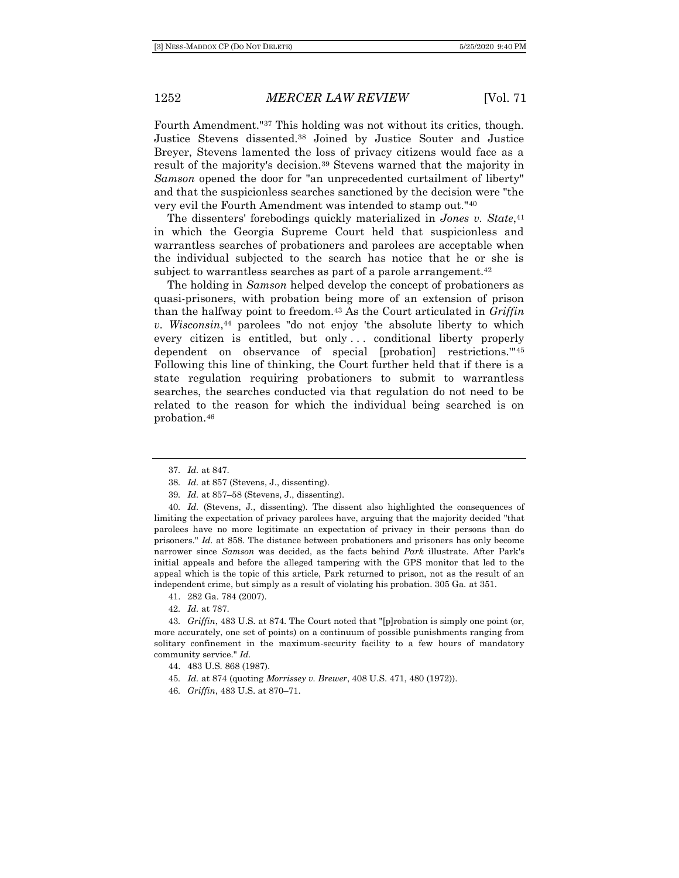Fourth Amendment."<sup>37</sup> This holding was not without its critics, though. Justice Stevens dissented.<sup>38</sup> Joined by Justice Souter and Justice Breyer, Stevens lamented the loss of privacy citizens would face as a result of the majority's decision.<sup>39</sup> Stevens warned that the majority in *Samson* opened the door for "an unprecedented curtailment of liberty" and that the suspicionless searches sanctioned by the decision were "the very evil the Fourth Amendment was intended to stamp out."<sup>40</sup>

The dissenters' forebodings quickly materialized in *Jones v. State*, 41 in which the Georgia Supreme Court held that suspicionless and warrantless searches of probationers and parolees are acceptable when the individual subjected to the search has notice that he or she is subject to warrantless searches as part of a parole arrangement.<sup>42</sup>

The holding in *Samson* helped develop the concept of probationers as quasi-prisoners, with probation being more of an extension of prison than the halfway point to freedom.<sup>43</sup> As the Court articulated in *Griffin v. Wisconsin*, <sup>44</sup> parolees "do not enjoy 'the absolute liberty to which every citizen is entitled, but only . . . conditional liberty properly dependent on observance of special [probation] restrictions.'"<sup>45</sup> Following this line of thinking, the Court further held that if there is a state regulation requiring probationers to submit to warrantless searches, the searches conducted via that regulation do not need to be related to the reason for which the individual being searched is on probation.<sup>46</sup>

- 41. 282 Ga. 784 (2007).
- 42*. Id.* at 787.

43*. Griffin*, 483 U.S. at 874. The Court noted that "[p]robation is simply one point (or, more accurately, one set of points) on a continuum of possible punishments ranging from solitary confinement in the maximum-security facility to a few hours of mandatory community service." *Id.*

- 44. 483 U.S. 868 (1987).
- 45*. Id.* at 874 (quoting *Morrissey v. Brewer*, 408 U.S. 471, 480 (1972)).
- 46*. Griffin*, 483 U.S. at 870–71.

<sup>37</sup>*. Id.* at 847.

<sup>38</sup>*. Id.* at 857 (Stevens, J., dissenting).

<sup>39</sup>*. Id.* at 857–58 (Stevens, J., dissenting).

<sup>40</sup>*. Id.* (Stevens, J., dissenting). The dissent also highlighted the consequences of limiting the expectation of privacy parolees have, arguing that the majority decided "that parolees have no more legitimate an expectation of privacy in their persons than do prisoners." *Id.* at 858. The distance between probationers and prisoners has only become narrower since *Samson* was decided, as the facts behind *Park* illustrate. After Park's initial appeals and before the alleged tampering with the GPS monitor that led to the appeal which is the topic of this article, Park returned to prison, not as the result of an independent crime, but simply as a result of violating his probation. 305 Ga. at 351.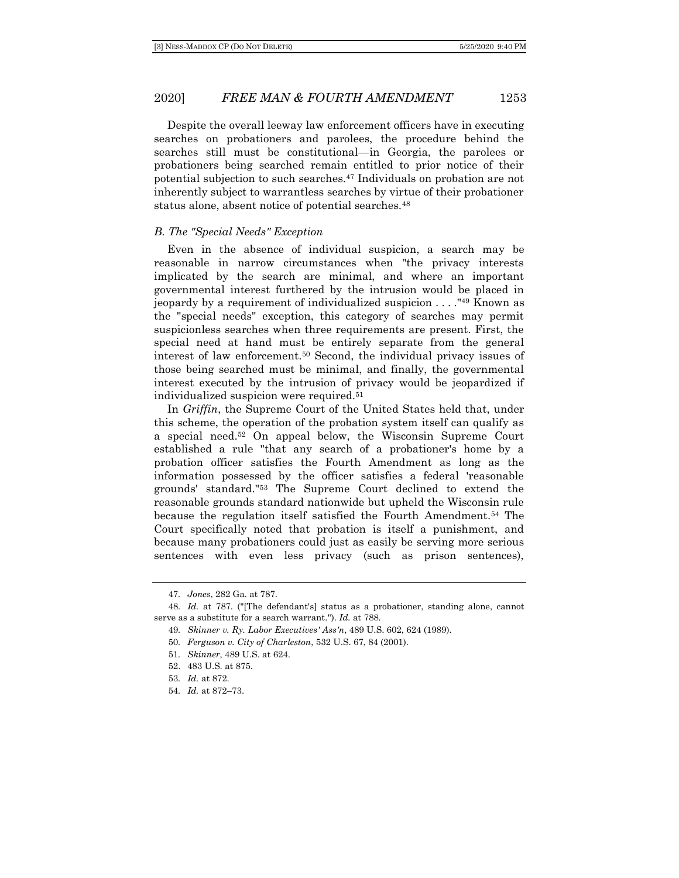Despite the overall leeway law enforcement officers have in executing searches on probationers and parolees, the procedure behind the searches still must be constitutional—in Georgia, the parolees or probationers being searched remain entitled to prior notice of their potential subjection to such searches.<sup>47</sup> Individuals on probation are not inherently subject to warrantless searches by virtue of their probationer status alone, absent notice of potential searches.<sup>48</sup>

#### *B. The "Special Needs" Exception*

Even in the absence of individual suspicion, a search may be reasonable in narrow circumstances when "the privacy interests implicated by the search are minimal, and where an important governmental interest furthered by the intrusion would be placed in jeopardy by a requirement of individualized suspicion . . . ."<sup>49</sup> Known as the "special needs" exception, this category of searches may permit suspicionless searches when three requirements are present. First, the special need at hand must be entirely separate from the general interest of law enforcement.<sup>50</sup> Second, the individual privacy issues of those being searched must be minimal, and finally, the governmental interest executed by the intrusion of privacy would be jeopardized if individualized suspicion were required.<sup>51</sup>

In *Griffin*, the Supreme Court of the United States held that, under this scheme, the operation of the probation system itself can qualify as a special need.<sup>52</sup> On appeal below, the Wisconsin Supreme Court established a rule "that any search of a probationer's home by a probation officer satisfies the Fourth Amendment as long as the information possessed by the officer satisfies a federal 'reasonable grounds' standard."<sup>53</sup> The Supreme Court declined to extend the reasonable grounds standard nationwide but upheld the Wisconsin rule because the regulation itself satisfied the Fourth Amendment.<sup>54</sup> The Court specifically noted that probation is itself a punishment, and because many probationers could just as easily be serving more serious sentences with even less privacy (such as prison sentences),

52. 483 U.S. at 875.

54*. Id.* at 872–73.

<sup>47</sup>*. Jones*, 282 Ga. at 787.

<sup>48</sup>*. Id.* at 787. ("[The defendant's] status as a probationer, standing alone, cannot serve as a substitute for a search warrant."). *Id.* at 788.

<sup>49</sup>*. Skinner v. Ry. Labor Executives' Ass'n*, 489 U.S. 602, 624 (1989).

<sup>50</sup>*. Ferguson v. City of Charleston*, 532 U.S. 67, 84 (2001).

<sup>51</sup>*. Skinner*, 489 U.S. at 624.

<sup>53</sup>*. Id.* at 872.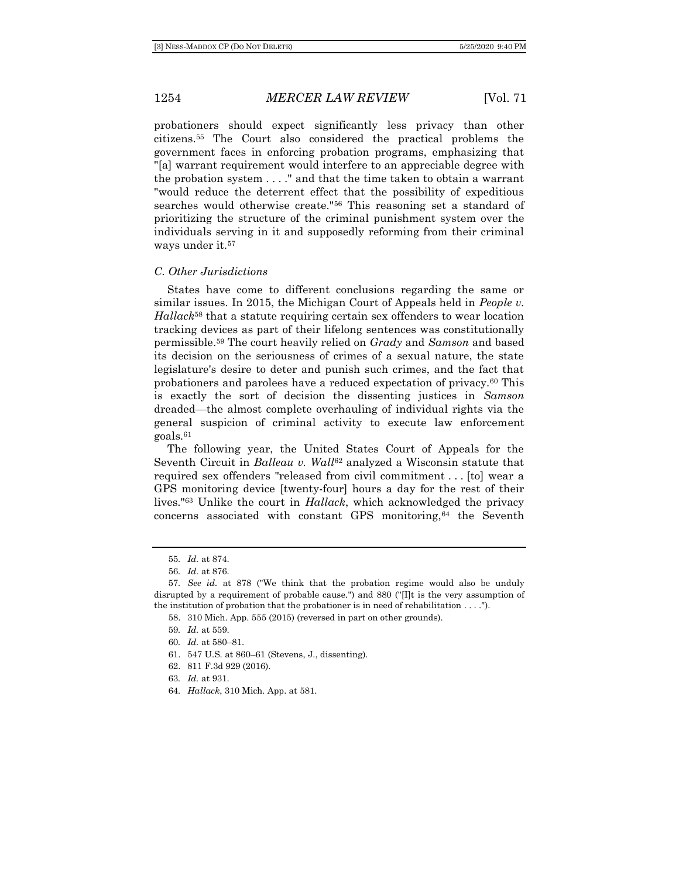probationers should expect significantly less privacy than other citizens.<sup>55</sup> The Court also considered the practical problems the government faces in enforcing probation programs, emphasizing that "[a] warrant requirement would interfere to an appreciable degree with the probation system . . . ." and that the time taken to obtain a warrant "would reduce the deterrent effect that the possibility of expeditious searches would otherwise create."<sup>56</sup> This reasoning set a standard of prioritizing the structure of the criminal punishment system over the individuals serving in it and supposedly reforming from their criminal ways under it.<sup>57</sup>

#### *C. Other Jurisdictions*

States have come to different conclusions regarding the same or similar issues. In 2015, the Michigan Court of Appeals held in *People v. Hallack*<sup>58</sup> that a statute requiring certain sex offenders to wear location tracking devices as part of their lifelong sentences was constitutionally permissible.<sup>59</sup> The court heavily relied on *Grady* and *Samson* and based its decision on the seriousness of crimes of a sexual nature, the state legislature's desire to deter and punish such crimes, and the fact that probationers and parolees have a reduced expectation of privacy.<sup>60</sup> This is exactly the sort of decision the dissenting justices in *Samson* dreaded—the almost complete overhauling of individual rights via the general suspicion of criminal activity to execute law enforcement goals.<sup>61</sup>

The following year, the United States Court of Appeals for the Seventh Circuit in *Balleau v. Wall*<sup>62</sup> analyzed a Wisconsin statute that required sex offenders "released from civil commitment . . . [to] wear a GPS monitoring device [twenty-four] hours a day for the rest of their lives."<sup>63</sup> Unlike the court in *Hallack*, which acknowledged the privacy concerns associated with constant GPS monitoring,<sup>64</sup> the Seventh

58. 310 Mich. App. 555 (2015) (reversed in part on other grounds).

61. 547 U.S. at 860–61 (Stevens, J., dissenting).

62. 811 F.3d 929 (2016).

64*. Hallack*, 310 Mich. App. at 581.

<sup>55</sup>*. Id.* at 874.

<sup>56</sup>*. Id.* at 876.

<sup>57</sup>*. See id.* at 878 ("We think that the probation regime would also be unduly disrupted by a requirement of probable cause.") and 880 ("[I]t is the very assumption of the institution of probation that the probationer is in need of rehabilitation . . . .").

<sup>59</sup>*. Id.* at 559.

<sup>60</sup>*. Id.* at 580–81.

<sup>63</sup>*. Id.* at 931.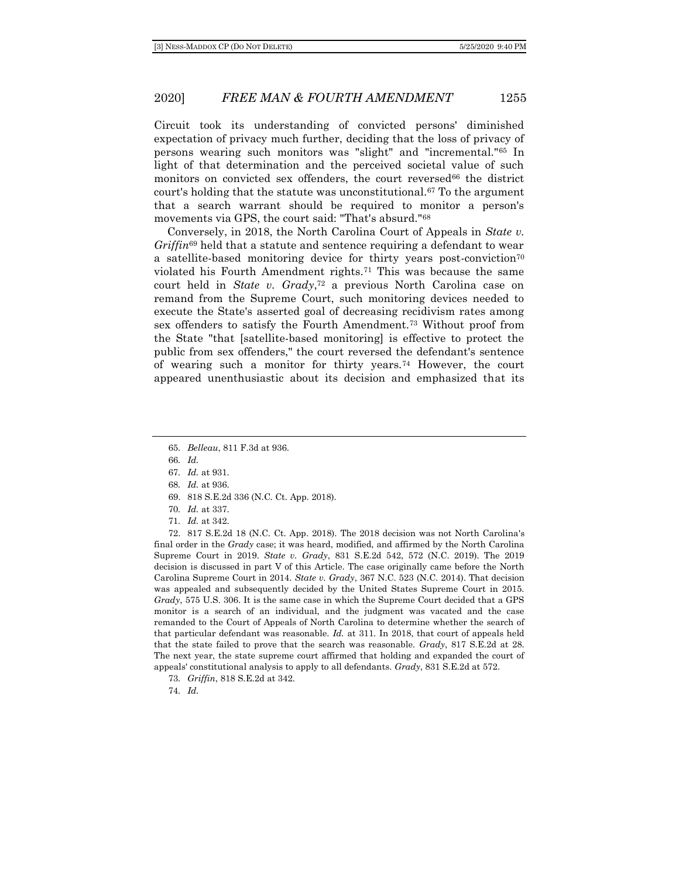Circuit took its understanding of convicted persons' diminished expectation of privacy much further, deciding that the loss of privacy of persons wearing such monitors was "slight" and "incremental."<sup>65</sup> In light of that determination and the perceived societal value of such monitors on convicted sex offenders, the court reversed<sup>66</sup> the district court's holding that the statute was unconstitutional.<sup>67</sup> To the argument that a search warrant should be required to monitor a person's movements via GPS, the court said: "That's absurd."<sup>68</sup>

Conversely, in 2018, the North Carolina Court of Appeals in *State v. Griffin*<sup>69</sup> held that a statute and sentence requiring a defendant to wear a satellite-based monitoring device for thirty years post-conviction<sup>70</sup> violated his Fourth Amendment rights.<sup>71</sup> This was because the same court held in *State v. Grady*, <sup>72</sup> a previous North Carolina case on remand from the Supreme Court, such monitoring devices needed to execute the State's asserted goal of decreasing recidivism rates among sex offenders to satisfy the Fourth Amendment.<sup>73</sup> Without proof from the State "that [satellite-based monitoring] is effective to protect the public from sex offenders," the court reversed the defendant's sentence of wearing such a monitor for thirty years.<sup>74</sup> However, the court appeared unenthusiastic about its decision and emphasized that its

66*. Id.*

67*. Id.* at 931.

68*. Id.* at 936.

73*. Griffin*, 818 S.E.2d at 342.

74*. Id.*

<sup>65</sup>*. Belleau*, 811 F.3d at 936.

<sup>69.</sup> 818 S.E.2d 336 (N.C. Ct. App. 2018).

<sup>70</sup>*. Id.* at 337.

<sup>71</sup>*. Id.* at 342.

<sup>72.</sup> 817 S.E.2d 18 (N.C. Ct. App. 2018). The 2018 decision was not North Carolina's final order in the *Grady* case; it was heard, modified, and affirmed by the North Carolina Supreme Court in 2019. *State v. Grady*, 831 S.E.2d 542, 572 (N.C. 2019). The 2019 decision is discussed in part V of this Article. The case originally came before the North Carolina Supreme Court in 2014. *State v. Grady*, 367 N.C. 523 (N.C. 2014). That decision was appealed and subsequently decided by the United States Supreme Court in 2015. *Grady*, 575 U.S. 306. It is the same case in which the Supreme Court decided that a GPS monitor is a search of an individual, and the judgment was vacated and the case remanded to the Court of Appeals of North Carolina to determine whether the search of that particular defendant was reasonable. *Id.* at 311. In 2018, that court of appeals held that the state failed to prove that the search was reasonable. *Grady*, 817 S.E.2d at 28. The next year, the state supreme court affirmed that holding and expanded the court of appeals' constitutional analysis to apply to all defendants. *Grady*, 831 S.E.2d at 572.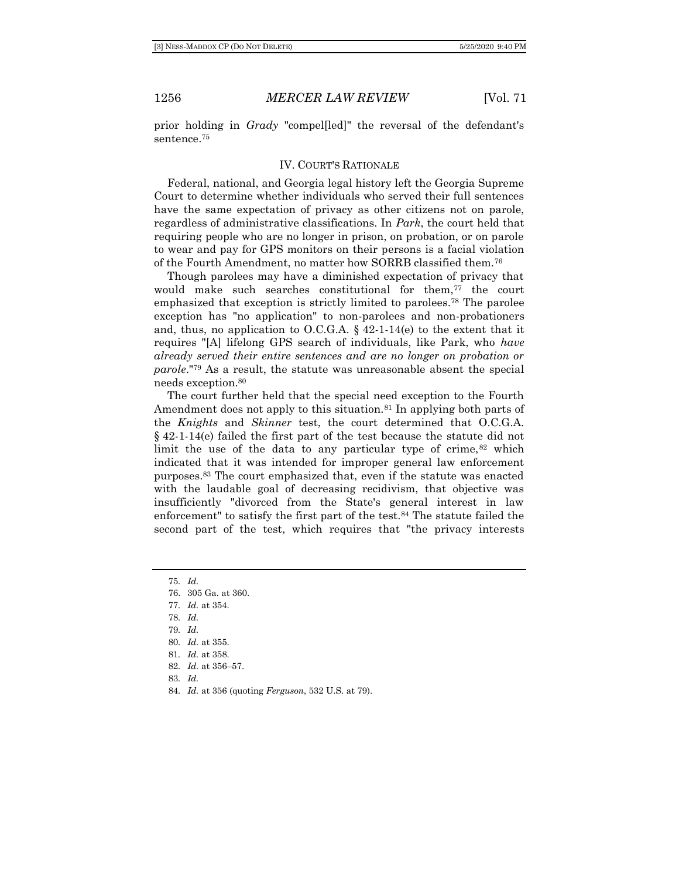prior holding in *Grady* "compel[led]" the reversal of the defendant's sentence.<sup>75</sup>

#### IV. COURT'S RATIONALE

Federal, national, and Georgia legal history left the Georgia Supreme Court to determine whether individuals who served their full sentences have the same expectation of privacy as other citizens not on parole, regardless of administrative classifications. In *Park*, the court held that requiring people who are no longer in prison, on probation, or on parole to wear and pay for GPS monitors on their persons is a facial violation of the Fourth Amendment, no matter how SORRB classified them.<sup>76</sup>

Though parolees may have a diminished expectation of privacy that would make such searches constitutional for them,<sup>77</sup> the court emphasized that exception is strictly limited to parolees.<sup>78</sup> The parolee exception has "no application" to non-parolees and non-probationers and, thus, no application to O.C.G.A.  $\S$  42-1-14(e) to the extent that it requires "[A] lifelong GPS search of individuals, like Park, who *have already served their entire sentences and are no longer on probation or parole*."<sup>79</sup> As a result, the statute was unreasonable absent the special needs exception.<sup>80</sup>

The court further held that the special need exception to the Fourth Amendment does not apply to this situation.<sup>81</sup> In applying both parts of the *Knights* and *Skinner* test, the court determined that O.C.G.A. § 42-1-14(e) failed the first part of the test because the statute did not limit the use of the data to any particular type of crime, $82$  which indicated that it was intended for improper general law enforcement purposes.<sup>83</sup> The court emphasized that, even if the statute was enacted with the laudable goal of decreasing recidivism, that objective was insufficiently "divorced from the State's general interest in law enforcement" to satisfy the first part of the test.<sup>84</sup> The statute failed the second part of the test, which requires that "the privacy interests

75*. Id.* 76. 305 Ga. at 360. 77*. Id.* at 354. 78*. Id.* 79*. Id.* 80*. Id.* at 355. 81*. Id.* at 358. 82*. Id.* at 356–57. 83*. Id.*

84*. Id.* at 356 (quoting *Ferguson*, 532 U.S. at 79).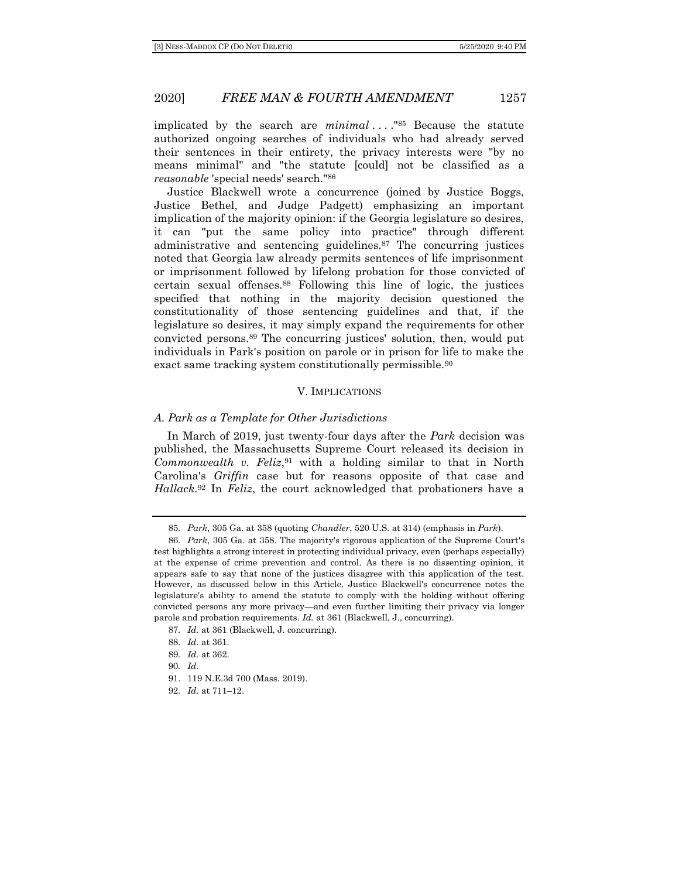implicated by the search are *minimal* ...."<sup>85</sup> Because the statute authorized ongoing searches of individuals who had already served their sentences in their entirety, the privacy interests were "by no means minimal" and "the statute [could] not be classified as a *reasonable* 'special needs' search."<sup>86</sup>

Justice Blackwell wrote a concurrence (joined by Justice Boggs, Justice Bethel, and Judge Padgett) emphasizing an important implication of the majority opinion: if the Georgia legislature so desires, it can "put the same policy into practice" through different administrative and sentencing guidelines.<sup>87</sup> The concurring justices noted that Georgia law already permits sentences of life imprisonment or imprisonment followed by lifelong probation for those convicted of certain sexual offenses.<sup>88</sup> Following this line of logic, the justices specified that nothing in the majority decision questioned the constitutionality of those sentencing guidelines and that, if the legislature so desires, it may simply expand the requirements for other convicted persons.<sup>89</sup> The concurring justices' solution, then, would put individuals in Park's position on parole or in prison for life to make the exact same tracking system constitutionally permissible.<sup>90</sup>

#### V. IMPLICATIONS

#### *A. Park as a Template for Other Jurisdictions*

In March of 2019, just twenty-four days after the *Park* decision was published, the Massachusetts Supreme Court released its decision in *Commonwealth v. Feliz*, <sup>91</sup> with a holding similar to that in North Carolina's *Griffin* case but for reasons opposite of that case and *Hallack*. <sup>92</sup> In *Feliz*, the court acknowledged that probationers have a

<sup>85</sup>*. Park*, 305 Ga. at 358 (quoting *Chandler*, 520 U.S. at 314) (emphasis in *Park*).

<sup>86</sup>*. Park*, 305 Ga. at 358. The majority's rigorous application of the Supreme Court's test highlights a strong interest in protecting individual privacy, even (perhaps especially) at the expense of crime prevention and control. As there is no dissenting opinion, it appears safe to say that none of the justices disagree with this application of the test. However, as discussed below in this Article, Justice Blackwell's concurrence notes the legislature's ability to amend the statute to comply with the holding without offering convicted persons any more privacy—and even further limiting their privacy via longer parole and probation requirements. *Id.* at 361 (Blackwell, J., concurring).

<sup>87</sup>*. Id.* at 361 (Blackwell, J. concurring).

<sup>88</sup>*. Id.* at 361.

<sup>89</sup>*. Id.* at 362.

<sup>90</sup>*. Id.*

<sup>91.</sup> 119 N.E.3d 700 (Mass. 2019).

<sup>92</sup>*. Id.* at 711–12.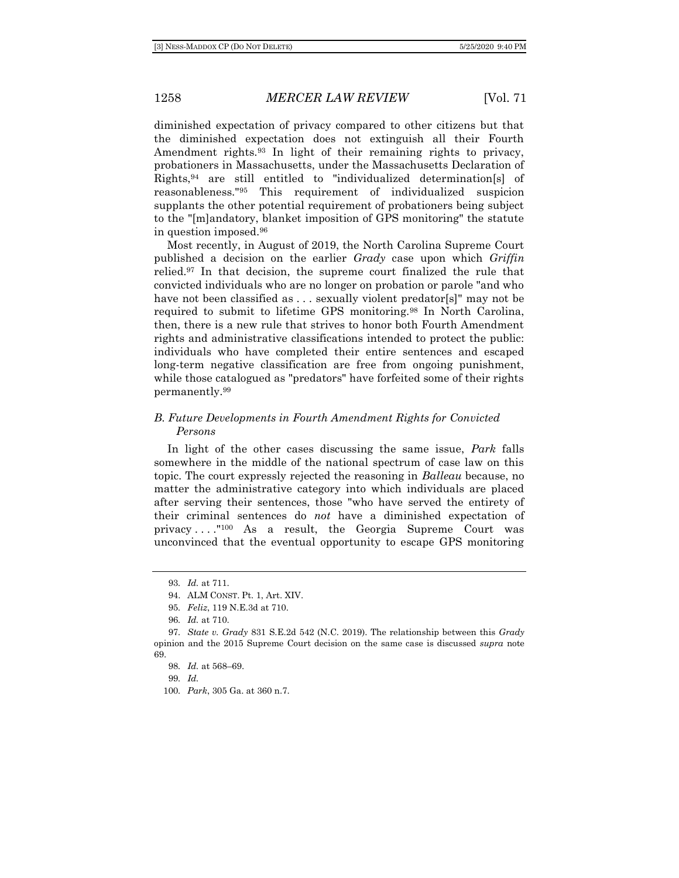diminished expectation of privacy compared to other citizens but that the diminished expectation does not extinguish all their Fourth Amendment rights.<sup>93</sup> In light of their remaining rights to privacy, probationers in Massachusetts, under the Massachusetts Declaration of Rights,<sup>94</sup> are still entitled to "individualized determination[s] of reasonableness."<sup>95</sup> This requirement of individualized suspicion supplants the other potential requirement of probationers being subject to the "[m]andatory, blanket imposition of GPS monitoring" the statute in question imposed.<sup>96</sup>

Most recently, in August of 2019, the North Carolina Supreme Court published a decision on the earlier *Grady* case upon which *Griffin* relied.<sup>97</sup> In that decision, the supreme court finalized the rule that convicted individuals who are no longer on probation or parole "and who have not been classified as ... sexually violent predator[s]" may not be required to submit to lifetime GPS monitoring.<sup>98</sup> In North Carolina, then, there is a new rule that strives to honor both Fourth Amendment rights and administrative classifications intended to protect the public: individuals who have completed their entire sentences and escaped long-term negative classification are free from ongoing punishment, while those catalogued as "predators" have forfeited some of their rights permanently.<sup>99</sup>

## *B. Future Developments in Fourth Amendment Rights for Convicted Persons*

In light of the other cases discussing the same issue, *Park* falls somewhere in the middle of the national spectrum of case law on this topic. The court expressly rejected the reasoning in *Balleau* because, no matter the administrative category into which individuals are placed after serving their sentences, those "who have served the entirety of their criminal sentences do *not* have a diminished expectation of privacy . . . ."<sup>100</sup> As a result, the Georgia Supreme Court was unconvinced that the eventual opportunity to escape GPS monitoring

99*. Id.*

<sup>93</sup>*. Id.* at 711.

<sup>94.</sup> ALM CONST. Pt. 1, Art. XIV.

<sup>95</sup>*. Feliz*, 119 N.E.3d at 710.

<sup>96</sup>*. Id.* at 710.

<sup>97</sup>*. State v. Grady* 831 S.E.2d 542 (N.C. 2019). The relationship between this *Grady* opinion and the 2015 Supreme Court decision on the same case is discussed *supra* note 69.

<sup>98</sup>*. Id.* at 568–69.

<sup>100</sup>*. Park*, 305 Ga. at 360 n.7.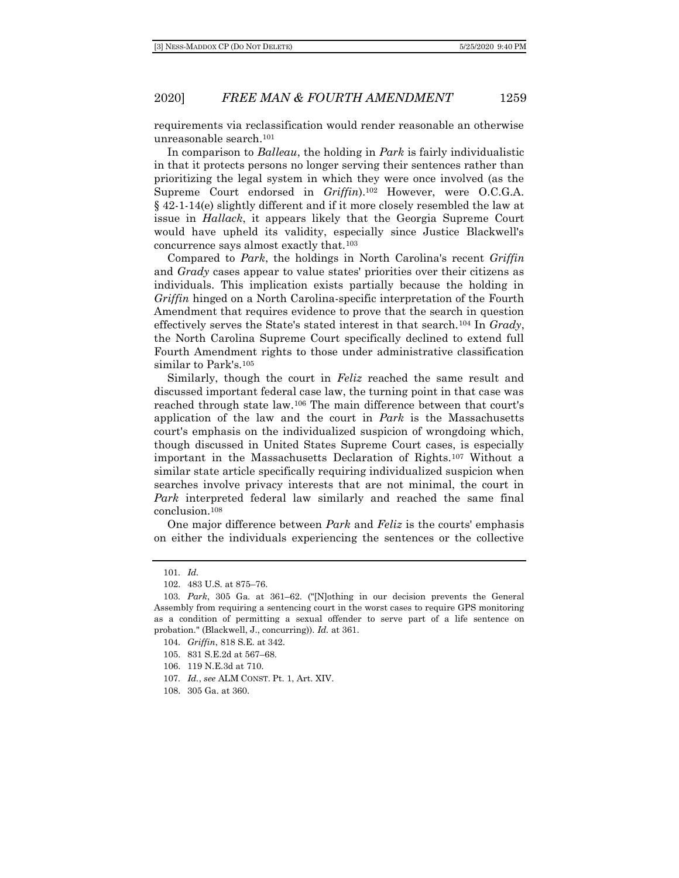requirements via reclassification would render reasonable an otherwise unreasonable search.<sup>101</sup>

In comparison to *Balleau*, the holding in *Park* is fairly individualistic in that it protects persons no longer serving their sentences rather than prioritizing the legal system in which they were once involved (as the Supreme Court endorsed in *Griffin*).<sup>102</sup> However, were O.C.G.A. § 42-1-14(e) slightly different and if it more closely resembled the law at issue in *Hallack*, it appears likely that the Georgia Supreme Court would have upheld its validity, especially since Justice Blackwell's concurrence says almost exactly that.<sup>103</sup>

Compared to *Park*, the holdings in North Carolina's recent *Griffin* and *Grady* cases appear to value states' priorities over their citizens as individuals. This implication exists partially because the holding in *Griffin* hinged on a North Carolina-specific interpretation of the Fourth Amendment that requires evidence to prove that the search in question effectively serves the State's stated interest in that search.<sup>104</sup> In *Grady*, the North Carolina Supreme Court specifically declined to extend full Fourth Amendment rights to those under administrative classification similar to Park's.<sup>105</sup>

Similarly, though the court in *Feliz* reached the same result and discussed important federal case law, the turning point in that case was reached through state law.<sup>106</sup> The main difference between that court's application of the law and the court in *Park* is the Massachusetts court's emphasis on the individualized suspicion of wrongdoing which, though discussed in United States Supreme Court cases, is especially important in the Massachusetts Declaration of Rights.<sup>107</sup> Without a similar state article specifically requiring individualized suspicion when searches involve privacy interests that are not minimal, the court in *Park* interpreted federal law similarly and reached the same final conclusion.<sup>108</sup>

One major difference between *Park* and *Feliz* is the courts' emphasis on either the individuals experiencing the sentences or the collective

- 106. 119 N.E.3d at 710.
- 107*. Id.*, *see* ALM CONST. Pt. 1, Art. XIV.
- 108. 305 Ga. at 360.

<sup>101</sup>*. Id.*

<sup>102.</sup> 483 U.S. at 875–76.

<sup>103</sup>*. Park*, 305 Ga. at 361–62. ("[N]othing in our decision prevents the General Assembly from requiring a sentencing court in the worst cases to require GPS monitoring as a condition of permitting a sexual offender to serve part of a life sentence on probation." (Blackwell, J., concurring)). *Id.* at 361.

<sup>104</sup>*. Griffin*, 818 S.E. at 342.

<sup>105.</sup> 831 S.E.2d at 567–68.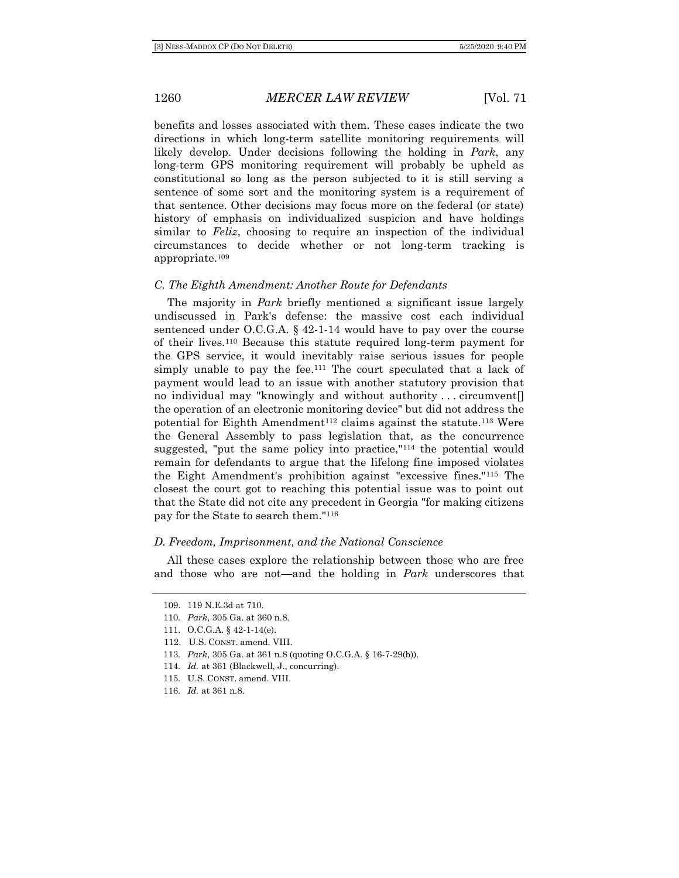benefits and losses associated with them. These cases indicate the two directions in which long-term satellite monitoring requirements will likely develop. Under decisions following the holding in *Park*, any long-term GPS monitoring requirement will probably be upheld as constitutional so long as the person subjected to it is still serving a sentence of some sort and the monitoring system is a requirement of that sentence. Other decisions may focus more on the federal (or state) history of emphasis on individualized suspicion and have holdings similar to *Feliz*, choosing to require an inspection of the individual circumstances to decide whether or not long-term tracking is appropriate.<sup>109</sup>

#### *C. The Eighth Amendment: Another Route for Defendants*

The majority in *Park* briefly mentioned a significant issue largely undiscussed in Park's defense: the massive cost each individual sentenced under O.C.G.A. § 42-1-14 would have to pay over the course of their lives.<sup>110</sup> Because this statute required long-term payment for the GPS service, it would inevitably raise serious issues for people simply unable to pay the fee.<sup>111</sup> The court speculated that a lack of payment would lead to an issue with another statutory provision that no individual may "knowingly and without authority . . . circumvent[] the operation of an electronic monitoring device" but did not address the potential for Eighth Amendment<sup>112</sup> claims against the statute.<sup>113</sup> Were the General Assembly to pass legislation that, as the concurrence suggested, "put the same policy into practice,"<sup>114</sup> the potential would remain for defendants to argue that the lifelong fine imposed violates the Eight Amendment's prohibition against "excessive fines."<sup>115</sup> The closest the court got to reaching this potential issue was to point out that the State did not cite any precedent in Georgia "for making citizens pay for the State to search them."<sup>116</sup>

#### *D. Freedom, Imprisonment, and the National Conscience*

All these cases explore the relationship between those who are free and those who are not—and the holding in *Park* underscores that

- 112. U.S. CONST. amend. VIII.
- 113*. Park*, 305 Ga. at 361 n.8 (quoting O.C.G.A. § 16-7-29(b)).
- 114*. Id.* at 361 (Blackwell, J., concurring).
- 115*.* U.S. CONST. amend. VIII.

<sup>109.</sup> 119 N.E.3d at 710.

<sup>110</sup>*. Park*, 305 Ga. at 360 n.8.

<sup>111.</sup> O.C.G.A. § 42-1-14(e).

<sup>116</sup>*. Id.* at 361 n.8.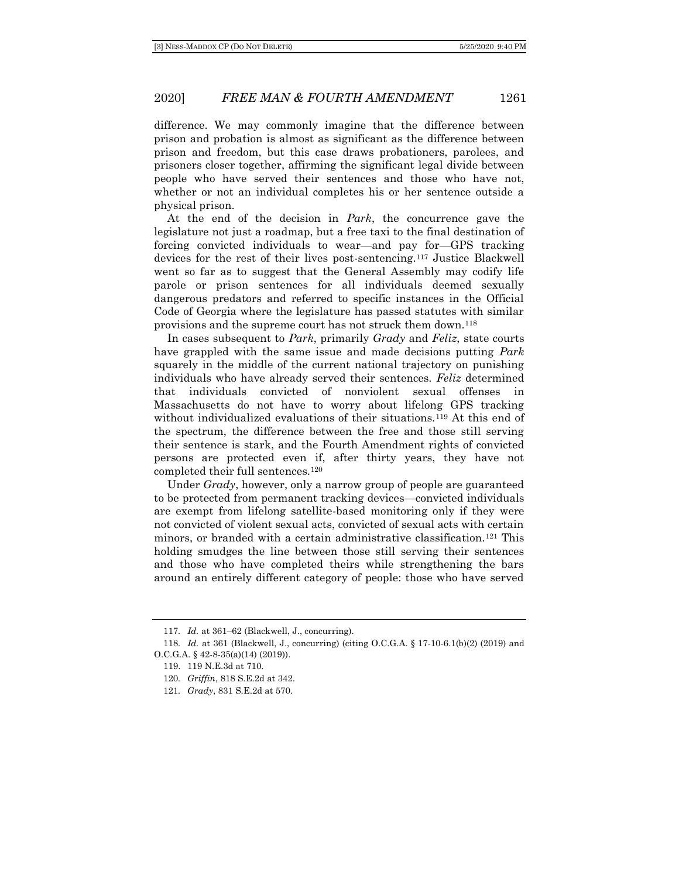difference. We may commonly imagine that the difference between prison and probation is almost as significant as the difference between prison and freedom, but this case draws probationers, parolees, and prisoners closer together, affirming the significant legal divide between people who have served their sentences and those who have not, whether or not an individual completes his or her sentence outside a physical prison.

At the end of the decision in *Park*, the concurrence gave the legislature not just a roadmap, but a free taxi to the final destination of forcing convicted individuals to wear—and pay for—GPS tracking devices for the rest of their lives post-sentencing.<sup>117</sup> Justice Blackwell went so far as to suggest that the General Assembly may codify life parole or prison sentences for all individuals deemed sexually dangerous predators and referred to specific instances in the Official Code of Georgia where the legislature has passed statutes with similar provisions and the supreme court has not struck them down.<sup>118</sup>

In cases subsequent to *Park*, primarily *Grady* and *Feliz*, state courts have grappled with the same issue and made decisions putting *Park* squarely in the middle of the current national trajectory on punishing individuals who have already served their sentences. *Feliz* determined that individuals convicted of nonviolent sexual offenses Massachusetts do not have to worry about lifelong GPS tracking without individualized evaluations of their situations.<sup>119</sup> At this end of the spectrum, the difference between the free and those still serving their sentence is stark, and the Fourth Amendment rights of convicted persons are protected even if, after thirty years, they have not completed their full sentences.<sup>120</sup>

Under *Grady*, however, only a narrow group of people are guaranteed to be protected from permanent tracking devices—convicted individuals are exempt from lifelong satellite-based monitoring only if they were not convicted of violent sexual acts, convicted of sexual acts with certain minors, or branded with a certain administrative classification.<sup>121</sup> This holding smudges the line between those still serving their sentences and those who have completed theirs while strengthening the bars around an entirely different category of people: those who have served

<sup>117</sup>*. Id.* at 361–62 (Blackwell, J., concurring).

<sup>118</sup>*. Id.* at 361 (Blackwell, J., concurring) (citing O.C.G.A. § 17-10-6.1(b)(2) (2019) and O.C.G.A. § 42-8-35(a)(14) (2019)).

<sup>119.</sup> 119 N.E.3d at 710.

<sup>120</sup>*. Griffin*, 818 S.E.2d at 342.

<sup>121</sup>*. Grady*, 831 S.E.2d at 570.